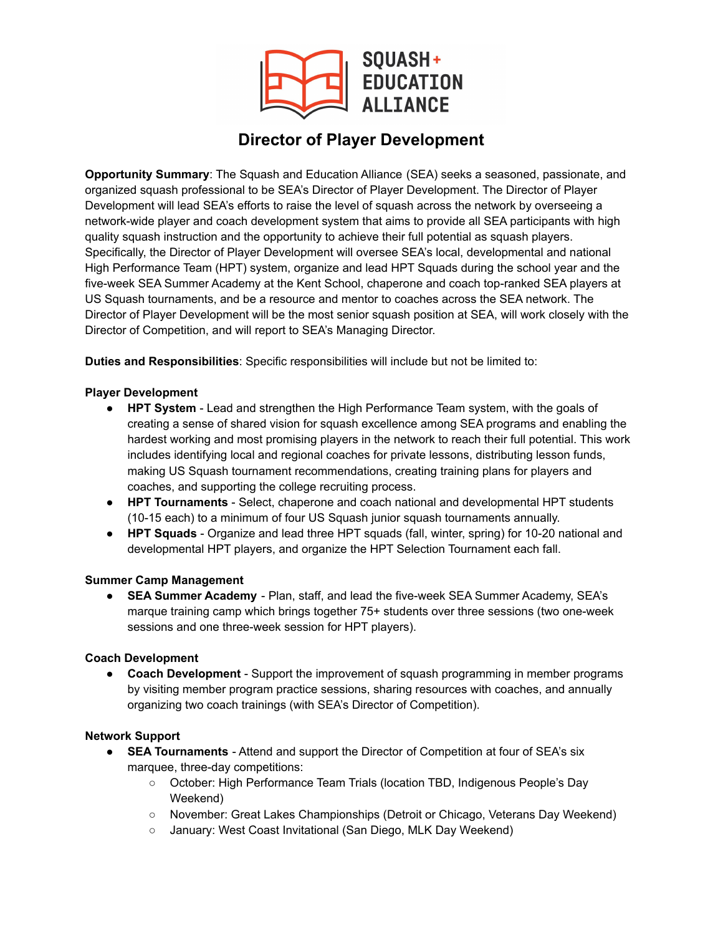

# **Director of Player Development**

**Opportunity Summary**: The Squash and Education Alliance (SEA) seeks a seasoned, passionate, and organized squash professional to be SEA's Director of Player Development. The Director of Player Development will lead SEA's efforts to raise the level of squash across the network by overseeing a network-wide player and coach development system that aims to provide all SEA participants with high quality squash instruction and the opportunity to achieve their full potential as squash players. Specifically, the Director of Player Development will oversee SEA's local, developmental and national High Performance Team (HPT) system, organize and lead HPT Squads during the school year and the five-week SEA Summer Academy at the Kent School, chaperone and coach top-ranked SEA players at US Squash tournaments, and be a resource and mentor to coaches across the SEA network. The Director of Player Development will be the most senior squash position at SEA, will work closely with the Director of Competition, and will report to SEA's Managing Director.

**Duties and Responsibilities**: Specific responsibilities will include but not be limited to:

## **Player Development**

- **HPT System** Lead and strengthen the High Performance Team system, with the goals of creating a sense of shared vision for squash excellence among SEA programs and enabling the hardest working and most promising players in the network to reach their full potential. This work includes identifying local and regional coaches for private lessons, distributing lesson funds, making US Squash tournament recommendations, creating training plans for players and coaches, and supporting the college recruiting process.
- **HPT Tournaments** Select, chaperone and coach national and developmental HPT students (10-15 each) to a minimum of four US Squash junior squash tournaments annually.
- **HPT Squads** Organize and lead three HPT squads (fall, winter, spring) for 10-20 national and developmental HPT players, and organize the HPT Selection Tournament each fall.

## **Summer Camp Management**

● **SEA Summer Academy** - Plan, staff, and lead the five-week SEA Summer Academy, SEA's marque training camp which brings together 75+ students over three sessions (two one-week sessions and one three-week session for HPT players).

# **Coach Development**

● **Coach Development** - Support the improvement of squash programming in member programs by visiting member program practice sessions, sharing resources with coaches, and annually organizing two coach trainings (with SEA's Director of Competition).

# **Network Support**

- **SEA Tournaments** Attend and support the Director of Competition at four of SEA's six marquee, three-day competitions:
	- October: High Performance Team Trials (location TBD, Indigenous People's Day Weekend)
	- November: Great Lakes Championships (Detroit or Chicago, Veterans Day Weekend)
	- January: West Coast Invitational (San Diego, MLK Day Weekend)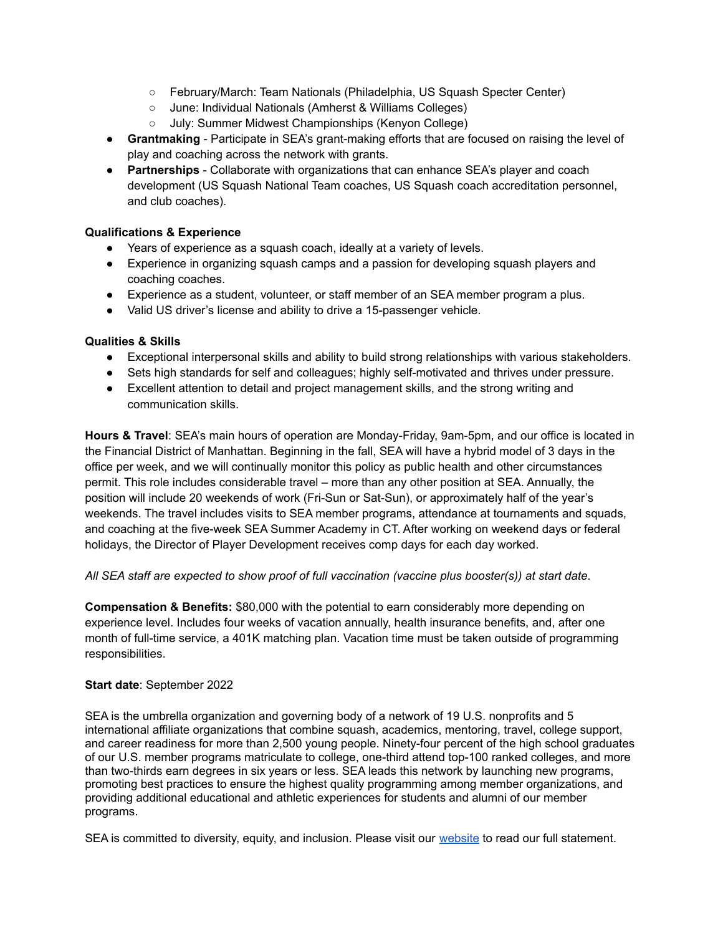- February/March: Team Nationals (Philadelphia, US Squash Specter Center)
- June: Individual Nationals (Amherst & Williams Colleges)
- July: Summer Midwest Championships (Kenyon College)
- **Grantmaking** Participate in SEA's grant-making efforts that are focused on raising the level of play and coaching across the network with grants.
- **Partnerships** Collaborate with organizations that can enhance SEA's player and coach development (US Squash National Team coaches, US Squash coach accreditation personnel, and club coaches).

### **Qualifications & Experience**

- Years of experience as a squash coach, ideally at a variety of levels.
- Experience in organizing squash camps and a passion for developing squash players and coaching coaches.
- Experience as a student, volunteer, or staff member of an SEA member program a plus.
- Valid US driver's license and ability to drive a 15-passenger vehicle.

#### **Qualities & Skills**

- Exceptional interpersonal skills and ability to build strong relationships with various stakeholders.
- Sets high standards for self and colleagues; highly self-motivated and thrives under pressure.
- Excellent attention to detail and project management skills, and the strong writing and communication skills.

**Hours & Travel**: SEA's main hours of operation are Monday-Friday, 9am-5pm, and our office is located in the Financial District of Manhattan. Beginning in the fall, SEA will have a hybrid model of 3 days in the office per week, and we will continually monitor this policy as public health and other circumstances permit. This role includes considerable travel – more than any other position at SEA. Annually, the position will include 20 weekends of work (Fri-Sun or Sat-Sun), or approximately half of the year's weekends. The travel includes visits to SEA member programs, attendance at tournaments and squads, and coaching at the five-week SEA Summer Academy in CT. After working on weekend days or federal holidays, the Director of Player Development receives comp days for each day worked.

#### *All SEA staff are expected to show proof of full vaccination (vaccine plus booster(s)) at start date.*

**Compensation & Benefits:** \$80,000 with the potential to earn considerably more depending on experience level. Includes four weeks of vacation annually, health insurance benefits, and, after one month of full-time service, a 401K matching plan. Vacation time must be taken outside of programming responsibilities.

#### **Start date**: September 2022

SEA is the umbrella organization and governing body of a network of 19 U.S. nonprofits and 5 international affiliate organizations that combine squash, academics, mentoring, travel, college support, and career readiness for more than 2,500 young people. Ninety-four percent of the high school graduates of our U.S. member programs matriculate to college, one-third attend top-100 ranked colleges, and more than two-thirds earn degrees in six years or less. SEA leads this network by launching new programs, promoting best practices to ensure the highest quality programming among member organizations, and providing additional educational and athletic experiences for students and alumni of our member programs.

SEA is committed to diversity, equity, and inclusion. Please visit our [website](https://squashandeducation.org/diversity-equity-and-inclusion/) to read our full statement.